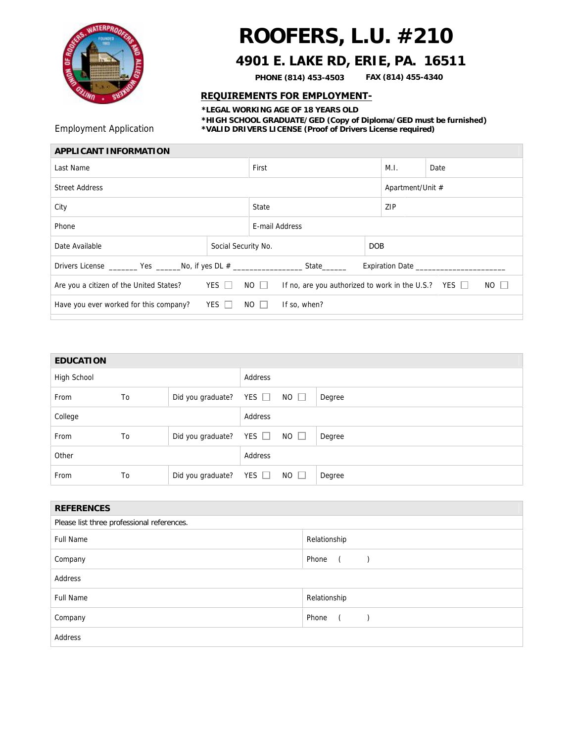

## **ROOFERS, L.U. #210**

## **4901 E. LAKE RD, ERIE, PA. 16511**

**PHONE (814) 453-4503 FAX (814) 455-4340**

## **REQUIREMENTS FOR EMPLOYMENT-**

**\*LEGAL WORKING AGE OF 18 YEARS OLD \*HIGH SCHOOL GRADUATE/GED (Copy of Diploma/GED must be furnished)**  Employment Application **\*VALID DRIVERS LICENSE (Proof of Drivers License required)**

| First                                                                               |                                                                                       | M.I.           | Date                           |  |
|-------------------------------------------------------------------------------------|---------------------------------------------------------------------------------------|----------------|--------------------------------|--|
| <b>Street Address</b>                                                               |                                                                                       |                |                                |  |
| State                                                                               |                                                                                       |                | ZIP                            |  |
|                                                                                     |                                                                                       |                |                                |  |
| Social Security No.                                                                 |                                                                                       |                |                                |  |
| <b>Expiration Date</b>                                                              |                                                                                       |                |                                |  |
| YES $\Box$                                                                          | NO $\Box$<br>If no, are you authorized to work in the U.S.? YES $\Box$<br>$NO$ $\Box$ |                |                                |  |
| Have you ever worked for this company?<br>YES $\Box$<br>$NO$ $\Box$<br>If so, when? |                                                                                       |                |                                |  |
|                                                                                     |                                                                                       | E-mail Address | Apartment/Unit #<br><b>DOB</b> |  |

| EDUCATION   |    |                   |            |             |        |
|-------------|----|-------------------|------------|-------------|--------|
| High School |    | Address           |            |             |        |
| From        | To | Did you graduate? | YES $\Box$ | $NO$ $\Box$ | Degree |
| College     |    |                   | Address    |             |        |
| From        | To | Did you graduate? | YES $\Box$ | $NO$ $\Box$ | Degree |
| Other       |    | Address           |            |             |        |
| From        | To | Did you graduate? | YES $\Box$ | $NO$ $\Box$ | Degree |

| <b>REFERENCES</b>                          |                                                           |  |  |  |
|--------------------------------------------|-----------------------------------------------------------|--|--|--|
| Please list three professional references. |                                                           |  |  |  |
| <b>Full Name</b>                           | Relationship                                              |  |  |  |
| Company                                    | Phone (<br>$\left( \begin{array}{cc} \end{array} \right)$ |  |  |  |
| Address                                    |                                                           |  |  |  |
| <b>Full Name</b>                           | Relationship                                              |  |  |  |
| Company                                    | Phone<br>$\sqrt{2}$                                       |  |  |  |
| Address                                    |                                                           |  |  |  |